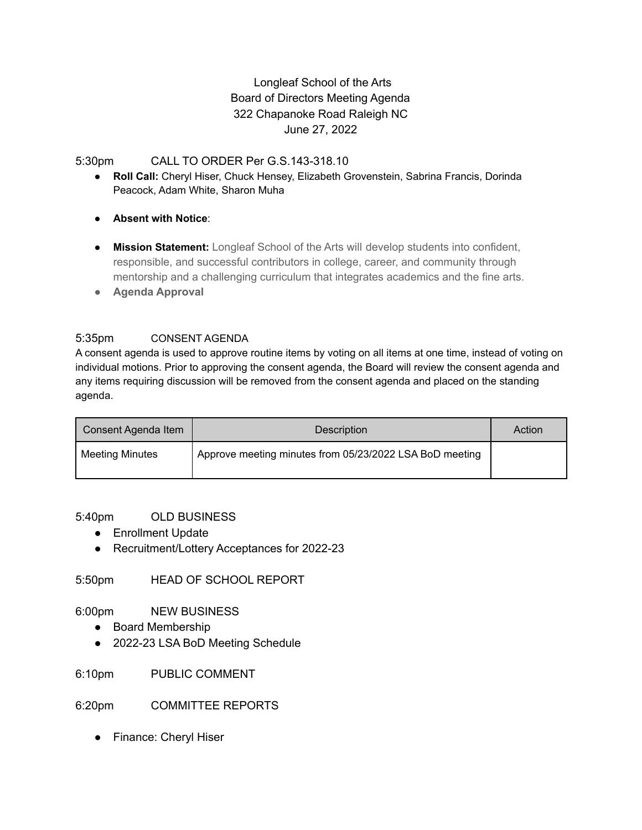# Longleaf School of the Arts Board of Directors Meeting Agenda 322 Chapanoke Road Raleigh NC June 27, 2022

## 5:30pm CALL TO ORDER Per G.S.143-318.10

- **Roll Call:** Cheryl Hiser, Chuck Hensey, Elizabeth Grovenstein, Sabrina Francis, Dorinda Peacock, Adam White, Sharon Muha
- **Absent with Notice**:
- **Mission Statement:** Longleaf School of the Arts will develop students into confident, responsible, and successful contributors in college, career, and community through mentorship and a challenging curriculum that integrates academics and the fine arts.
- **● Agenda Approval**

## 5:35pm CONSENT AGENDA

A consent agenda is used to approve routine items by voting on all items at one time, instead of voting on individual motions. Prior to approving the consent agenda, the Board will review the consent agenda and any items requiring discussion will be removed from the consent agenda and placed on the standing agenda.

| Consent Agenda Item | Description                                             | Action |
|---------------------|---------------------------------------------------------|--------|
| Meeting Minutes     | Approve meeting minutes from 05/23/2022 LSA BoD meeting |        |

### 5:40pm OLD BUSINESS

- Enrollment Update
- Recruitment/Lottery Acceptances for 2022-23

5:50pm HEAD OF SCHOOL REPORT

6:00pm NEW BUSINESS

- Board Membership
- 2022-23 LSA BoD Meeting Schedule

6:10pm PUBLIC COMMENT

6:20pm COMMITTEE REPORTS

● Finance: Cheryl Hiser